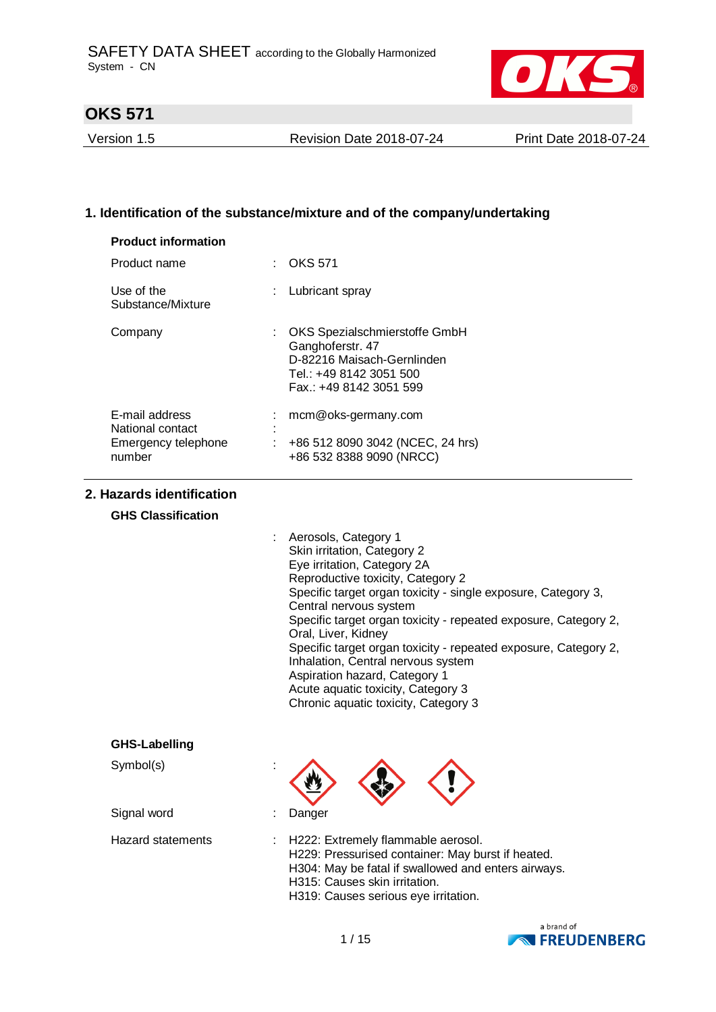

Version 1.5 Revision Date 2018-07-24 Print Date 2018-07-24

### **1. Identification of the substance/mixture and of the company/undertaking**

| <b>Product information</b>                                          |                                                                                                                                       |
|---------------------------------------------------------------------|---------------------------------------------------------------------------------------------------------------------------------------|
| Product name                                                        | <b>OKS 571</b>                                                                                                                        |
| Use of the<br>Substance/Mixture                                     | Lubricant spray                                                                                                                       |
| Company                                                             | OKS Spezialschmierstoffe GmbH<br>Ganghoferstr. 47<br>D-82216 Maisach-Gernlinden<br>Tel.: +49 8142 3051 500<br>Fax.: +49 8142 3051 599 |
| E-mail address<br>National contact<br>Emergency telephone<br>number | mcm@oks-germany.com<br>+86 512 8090 3042 (NCEC, 24 hrs)<br>+86 532 8388 9090 (NRCC)                                                   |

### **2. Hazards identification**

#### **GHS Classification**

| : Aerosols, Category 1                                          |
|-----------------------------------------------------------------|
| Skin irritation, Category 2                                     |
| Eye irritation, Category 2A                                     |
| Reproductive toxicity, Category 2                               |
| Specific target organ toxicity - single exposure, Category 3,   |
| Central nervous system                                          |
| Specific target organ toxicity - repeated exposure, Category 2, |
| Oral, Liver, Kidney                                             |
| Specific target organ toxicity - repeated exposure, Category 2, |
| Inhalation, Central nervous system                              |
| Aspiration hazard, Category 1                                   |
| Acute aquatic toxicity, Category 3                              |
| Chronic aquatic toxicity, Category 3                            |
|                                                                 |

#### **GHS-Labelling**

Symbol(s) :

Signal word : Danger



Hazard statements : H222: Extremely flammable aerosol. H229: Pressurised container: May burst if heated. H304: May be fatal if swallowed and enters airways. H315: Causes skin irritation. H319: Causes serious eye irritation.

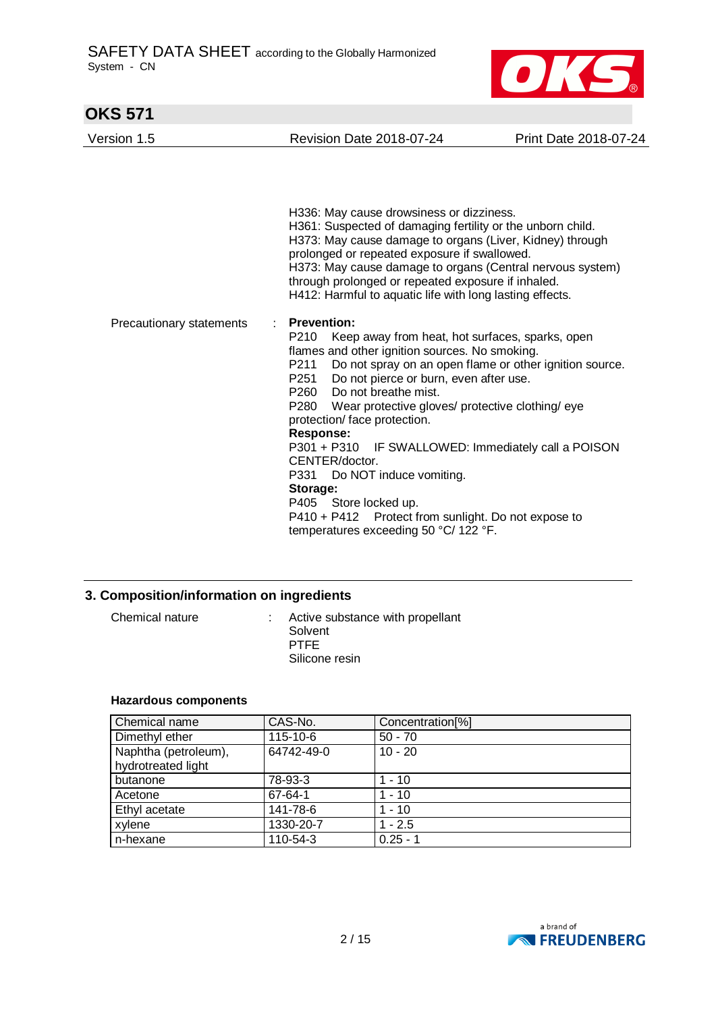

| <b>OKS 571</b>           |                                                                                                                                                                                                                                                                                                                                                                                                                                                                                                                                                                                                                                                                                                                     |                       |  |
|--------------------------|---------------------------------------------------------------------------------------------------------------------------------------------------------------------------------------------------------------------------------------------------------------------------------------------------------------------------------------------------------------------------------------------------------------------------------------------------------------------------------------------------------------------------------------------------------------------------------------------------------------------------------------------------------------------------------------------------------------------|-----------------------|--|
| Version 1.5              | <b>Revision Date 2018-07-24</b>                                                                                                                                                                                                                                                                                                                                                                                                                                                                                                                                                                                                                                                                                     | Print Date 2018-07-24 |  |
|                          | H336: May cause drowsiness or dizziness.<br>H361: Suspected of damaging fertility or the unborn child.<br>H373: May cause damage to organs (Liver, Kidney) through<br>prolonged or repeated exposure if swallowed.<br>H373: May cause damage to organs (Central nervous system)<br>through prolonged or repeated exposure if inhaled.                                                                                                                                                                                                                                                                                                                                                                               |                       |  |
| Precautionary statements | H412: Harmful to aquatic life with long lasting effects.<br><b>Prevention:</b><br>÷<br>P210<br>Keep away from heat, hot surfaces, sparks, open<br>flames and other ignition sources. No smoking.<br>Do not spray on an open flame or other ignition source.<br>P211<br>Do not pierce or burn, even after use.<br>P251<br>Do not breathe mist.<br>P260<br>P280 Wear protective gloves/ protective clothing/ eye<br>protection/ face protection.<br><b>Response:</b><br>P301 + P310 IF SWALLOWED: Immediately call a POISON<br>CENTER/doctor.<br>P331<br>Do NOT induce vomiting.<br>Storage:<br>P405 Store locked up.<br>P410 + P412 Protect from sunlight. Do not expose to<br>temperatures exceeding 50 °C/ 122 °F. |                       |  |

## **3. Composition/information on ingredients**

| Chemical nature | Active substance with propellant<br>Solvent<br><b>PTFF</b><br>Silicone resin |
|-----------------|------------------------------------------------------------------------------|
|                 |                                                                              |

#### **Hazardous components**

| Chemical name        | CAS-No.    | Concentration <sup>[%]</sup> |
|----------------------|------------|------------------------------|
| Dimethyl ether       | 115-10-6   | $50 - 70$                    |
| Naphtha (petroleum), | 64742-49-0 | $10 - 20$                    |
| hydrotreated light   |            |                              |
| butanone             | 78-93-3    | $1 - 10$                     |
| Acetone              | 67-64-1    | $1 - 10$                     |
| Ethyl acetate        | 141-78-6   | $1 - 10$                     |
| xylene               | 1330-20-7  | $1 - 2.5$                    |
| n-hexane             | 110-54-3   | $0.25 - 1$                   |

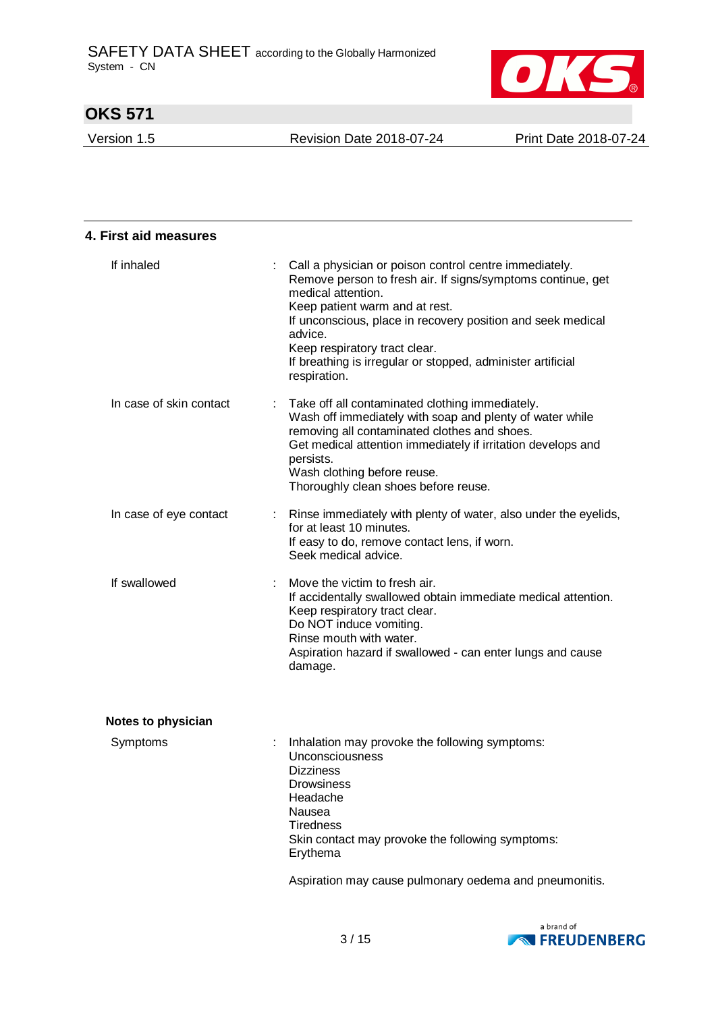

Version 1.5 Revision Date 2018-07-24 Print Date 2018-07-24

| 4. First aid measures     |                                                                                                                                                                                                                                                                                                                                                                         |
|---------------------------|-------------------------------------------------------------------------------------------------------------------------------------------------------------------------------------------------------------------------------------------------------------------------------------------------------------------------------------------------------------------------|
| If inhaled                | Call a physician or poison control centre immediately.<br>Remove person to fresh air. If signs/symptoms continue, get<br>medical attention.<br>Keep patient warm and at rest.<br>If unconscious, place in recovery position and seek medical<br>advice.<br>Keep respiratory tract clear.<br>If breathing is irregular or stopped, administer artificial<br>respiration. |
| In case of skin contact   | Take off all contaminated clothing immediately.<br>Wash off immediately with soap and plenty of water while<br>removing all contaminated clothes and shoes.<br>Get medical attention immediately if irritation develops and<br>persists.<br>Wash clothing before reuse.<br>Thoroughly clean shoes before reuse.                                                         |
| In case of eye contact    | Rinse immediately with plenty of water, also under the eyelids,<br>for at least 10 minutes.<br>If easy to do, remove contact lens, if worn.<br>Seek medical advice.                                                                                                                                                                                                     |
| If swallowed              | Move the victim to fresh air.<br>If accidentally swallowed obtain immediate medical attention.<br>Keep respiratory tract clear.<br>Do NOT induce vomiting.<br>Rinse mouth with water.<br>Aspiration hazard if swallowed - can enter lungs and cause<br>damage.                                                                                                          |
| <b>Notes to physician</b> |                                                                                                                                                                                                                                                                                                                                                                         |
| Symptoms                  | Inhalation may provoke the following symptoms:<br>Unconsciousness<br><b>Dizziness</b><br><b>Drowsiness</b><br>Headache<br>Nausea<br><b>Tiredness</b><br>Skin contact may provoke the following symptoms:<br>Erythema<br>Aspiration may cause pulmonary oedema and pneumonitis.                                                                                          |

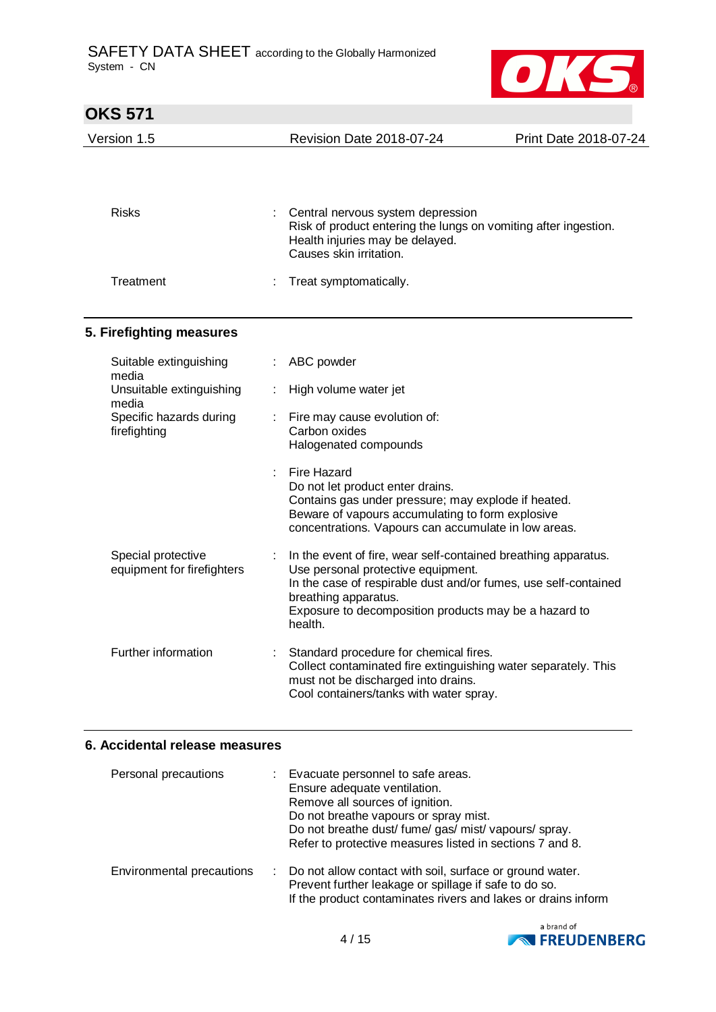

| <b>OKS 571</b>                                   |   |                                                                                                                                                                                                                                                                     |                       |
|--------------------------------------------------|---|---------------------------------------------------------------------------------------------------------------------------------------------------------------------------------------------------------------------------------------------------------------------|-----------------------|
| Version 1.5                                      |   | <b>Revision Date 2018-07-24</b>                                                                                                                                                                                                                                     | Print Date 2018-07-24 |
| <b>Risks</b>                                     |   | Central nervous system depression<br>Risk of product entering the lungs on vomiting after ingestion.                                                                                                                                                                |                       |
|                                                  |   | Health injuries may be delayed.<br>Causes skin irritation.                                                                                                                                                                                                          |                       |
| Treatment                                        |   | Treat symptomatically.                                                                                                                                                                                                                                              |                       |
| 5. Firefighting measures                         |   |                                                                                                                                                                                                                                                                     |                       |
| Suitable extinguishing<br>media                  | ÷ | ABC powder                                                                                                                                                                                                                                                          |                       |
| Unsuitable extinguishing<br>media                |   | High volume water jet                                                                                                                                                                                                                                               |                       |
| Specific hazards during<br>firefighting          |   | Fire may cause evolution of:<br>Carbon oxides<br>Halogenated compounds                                                                                                                                                                                              |                       |
|                                                  |   | Fire Hazard<br>Do not let product enter drains.<br>Contains gas under pressure; may explode if heated.<br>Beware of vapours accumulating to form explosive<br>concentrations. Vapours can accumulate in low areas.                                                  |                       |
| Special protective<br>equipment for firefighters |   | In the event of fire, wear self-contained breathing apparatus.<br>Use personal protective equipment.<br>In the case of respirable dust and/or fumes, use self-contained<br>breathing apparatus.<br>Exposure to decomposition products may be a hazard to<br>health. |                       |
| Further information                              |   | Standard procedure for chemical fires.<br>Collect contaminated fire extinguishing water separately. This<br>must not be discharged into drains.<br>Cool containers/tanks with water spray.                                                                          |                       |

### **6. Accidental release measures**

| Personal precautions      |        | Evacuate personnel to safe areas.<br>Ensure adequate ventilation.<br>Remove all sources of ignition.<br>Do not breathe vapours or spray mist.<br>Do not breathe dust/ fume/ gas/ mist/ vapours/ spray.<br>Refer to protective measures listed in sections 7 and 8. |
|---------------------------|--------|--------------------------------------------------------------------------------------------------------------------------------------------------------------------------------------------------------------------------------------------------------------------|
| Environmental precautions | $\sim$ | Do not allow contact with soil, surface or ground water.<br>Prevent further leakage or spillage if safe to do so.<br>If the product contaminates rivers and lakes or drains inform                                                                                 |

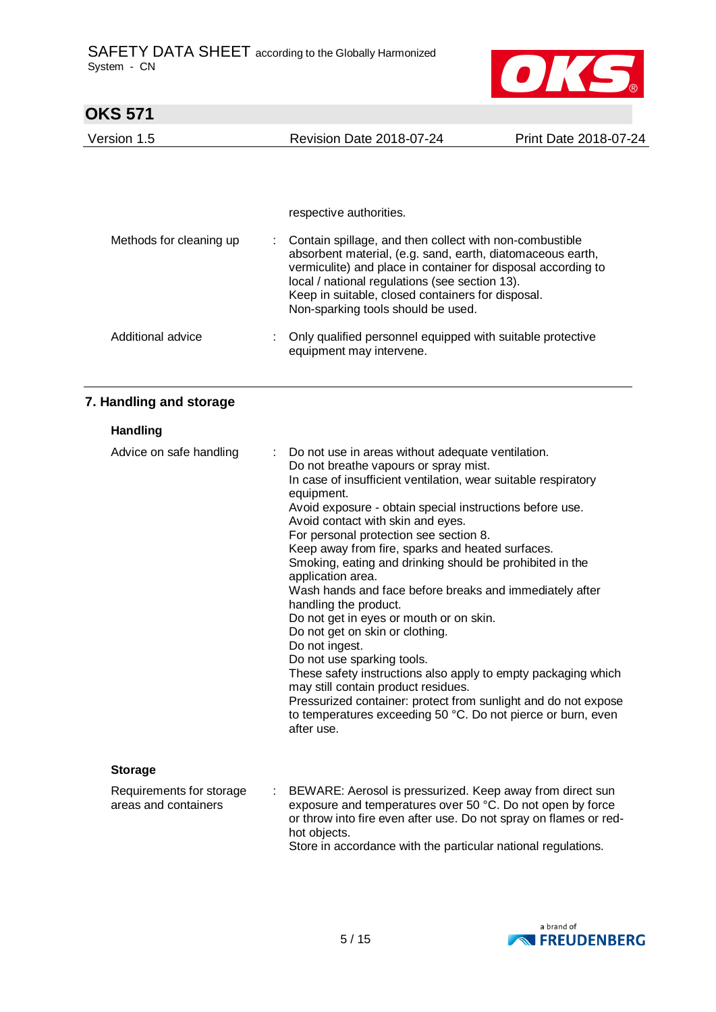

| <b>OKS 571</b>                                   |                                                                                                                                                                                                                                                                                                                                                                                                                                                                                                                                                                                                                                                                                                                                                                                                                                                                                                                                      |                                                                                        |                       |  |  |
|--------------------------------------------------|--------------------------------------------------------------------------------------------------------------------------------------------------------------------------------------------------------------------------------------------------------------------------------------------------------------------------------------------------------------------------------------------------------------------------------------------------------------------------------------------------------------------------------------------------------------------------------------------------------------------------------------------------------------------------------------------------------------------------------------------------------------------------------------------------------------------------------------------------------------------------------------------------------------------------------------|----------------------------------------------------------------------------------------|-----------------------|--|--|
| Version 1.5                                      |                                                                                                                                                                                                                                                                                                                                                                                                                                                                                                                                                                                                                                                                                                                                                                                                                                                                                                                                      | <b>Revision Date 2018-07-24</b>                                                        | Print Date 2018-07-24 |  |  |
|                                                  |                                                                                                                                                                                                                                                                                                                                                                                                                                                                                                                                                                                                                                                                                                                                                                                                                                                                                                                                      |                                                                                        |                       |  |  |
|                                                  |                                                                                                                                                                                                                                                                                                                                                                                                                                                                                                                                                                                                                                                                                                                                                                                                                                                                                                                                      | respective authorities.                                                                |                       |  |  |
| Methods for cleaning up                          | Contain spillage, and then collect with non-combustible<br>absorbent material, (e.g. sand, earth, diatomaceous earth,<br>vermiculite) and place in container for disposal according to<br>local / national regulations (see section 13).<br>Keep in suitable, closed containers for disposal.<br>Non-sparking tools should be used.                                                                                                                                                                                                                                                                                                                                                                                                                                                                                                                                                                                                  |                                                                                        |                       |  |  |
| Additional advice                                |                                                                                                                                                                                                                                                                                                                                                                                                                                                                                                                                                                                                                                                                                                                                                                                                                                                                                                                                      | Only qualified personnel equipped with suitable protective<br>equipment may intervene. |                       |  |  |
| 7. Handling and storage                          |                                                                                                                                                                                                                                                                                                                                                                                                                                                                                                                                                                                                                                                                                                                                                                                                                                                                                                                                      |                                                                                        |                       |  |  |
| <b>Handling</b>                                  |                                                                                                                                                                                                                                                                                                                                                                                                                                                                                                                                                                                                                                                                                                                                                                                                                                                                                                                                      |                                                                                        |                       |  |  |
| Advice on safe handling                          | Do not use in areas without adequate ventilation.<br>Do not breathe vapours or spray mist.<br>In case of insufficient ventilation, wear suitable respiratory<br>equipment.<br>Avoid exposure - obtain special instructions before use.<br>Avoid contact with skin and eyes.<br>For personal protection see section 8.<br>Keep away from fire, sparks and heated surfaces.<br>Smoking, eating and drinking should be prohibited in the<br>application area.<br>Wash hands and face before breaks and immediately after<br>handling the product.<br>Do not get in eyes or mouth or on skin.<br>Do not get on skin or clothing.<br>Do not ingest.<br>Do not use sparking tools.<br>These safety instructions also apply to empty packaging which<br>may still contain product residues.<br>Pressurized container: protect from sunlight and do not expose<br>to temperatures exceeding 50 °C. Do not pierce or burn, even<br>after use. |                                                                                        |                       |  |  |
| <b>Storage</b>                                   |                                                                                                                                                                                                                                                                                                                                                                                                                                                                                                                                                                                                                                                                                                                                                                                                                                                                                                                                      |                                                                                        |                       |  |  |
| Requirements for storage<br>areas and containers | BEWARE: Aerosol is pressurized. Keep away from direct sun<br>exposure and temperatures over 50 °C. Do not open by force<br>or throw into fire even after use. Do not spray on flames or red-<br>hot objects.                                                                                                                                                                                                                                                                                                                                                                                                                                                                                                                                                                                                                                                                                                                         |                                                                                        |                       |  |  |

Store in accordance with the particular national regulations.

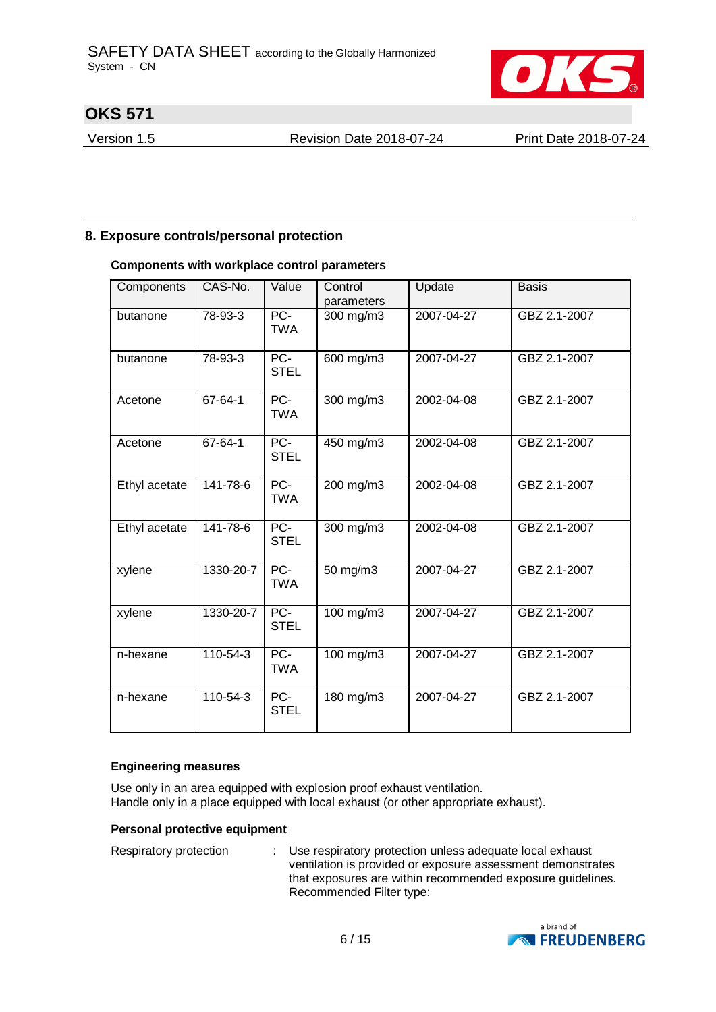

Version 1.5 Revision Date 2018-07-24 Print Date 2018-07-24

### **8. Exposure controls/personal protection**

#### **Components with workplace control parameters**

| Components    | CAS-No.        | Value                | Control<br>parameters | Update     | <b>Basis</b> |
|---------------|----------------|----------------------|-----------------------|------------|--------------|
| butanone      | 78-93-3        | $PC-$<br><b>TWA</b>  | 300 mg/m3             | 2007-04-27 | GBZ 2.1-2007 |
| butanone      | 78-93-3        | PC-<br><b>STEL</b>   | 600 mg/m3             | 2007-04-27 | GBZ 2.1-2007 |
| Acetone       | 67-64-1        | $PC-$<br><b>TWA</b>  | 300 mg/m3             | 2002-04-08 | GBZ 2.1-2007 |
| Acetone       | $67 - 64 - 1$  | $PC-$<br><b>STEL</b> | $450$ mg/m3           | 2002-04-08 | GBZ 2.1-2007 |
| Ethyl acetate | 141-78-6       | $PC-$<br><b>TWA</b>  | 200 mg/m3             | 2002-04-08 | GBZ 2.1-2007 |
| Ethyl acetate | 141-78-6       | $PC-$<br><b>STEL</b> | 300 mg/m3             | 2002-04-08 | GBZ 2.1-2007 |
| xylene        | 1330-20-7      | $PC-$<br><b>TWA</b>  | 50 mg/m3              | 2007-04-27 | GBZ 2.1-2007 |
| xylene        | 1330-20-7      | PC-<br><b>STEL</b>   | 100 mg/m3             | 2007-04-27 | GBZ 2.1-2007 |
| n-hexane      | 110-54-3       | $PC-$<br><b>TWA</b>  | 100 mg/m3             | 2007-04-27 | GBZ 2.1-2007 |
| n-hexane      | $110 - 54 - 3$ | $PC-$<br><b>STEL</b> | 180 mg/m3             | 2007-04-27 | GBZ 2.1-2007 |

#### **Engineering measures**

Use only in an area equipped with explosion proof exhaust ventilation. Handle only in a place equipped with local exhaust (or other appropriate exhaust).

#### **Personal protective equipment**

| Respiratory protection | : Use respiratory protection unless adequate local exhaust<br>ventilation is provided or exposure assessment demonstrates<br>that exposures are within recommended exposure guidelines.<br>Recommended Filter type: |
|------------------------|---------------------------------------------------------------------------------------------------------------------------------------------------------------------------------------------------------------------|
|------------------------|---------------------------------------------------------------------------------------------------------------------------------------------------------------------------------------------------------------------|

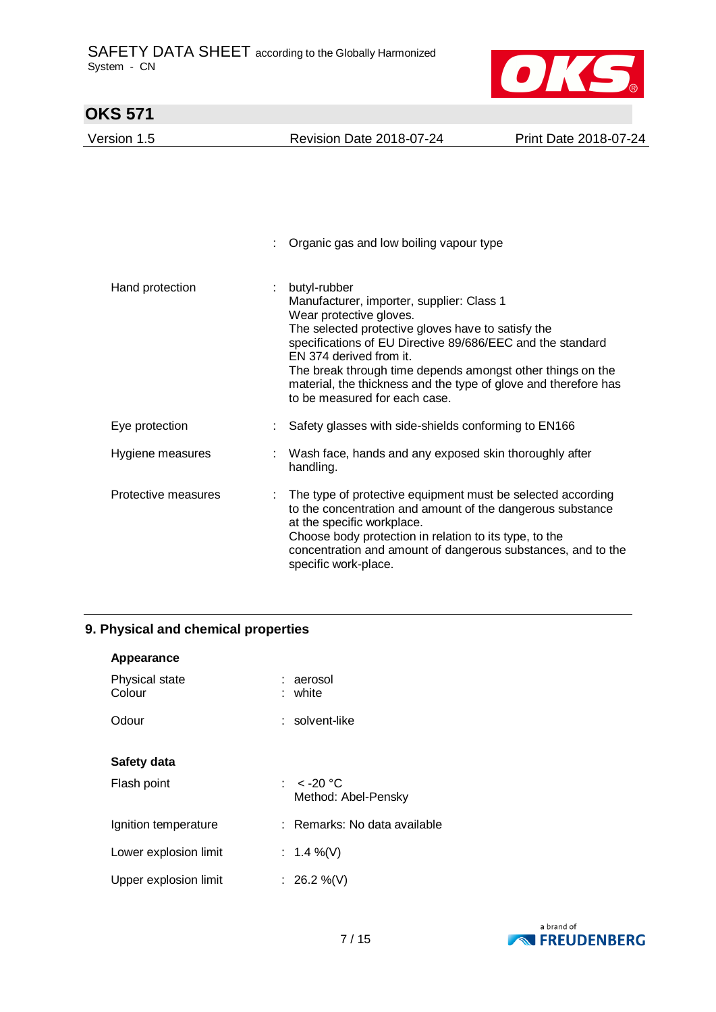

| OKS 571             |                                                                                                                                                                                                                                                                                                                                                                                                       |                       |
|---------------------|-------------------------------------------------------------------------------------------------------------------------------------------------------------------------------------------------------------------------------------------------------------------------------------------------------------------------------------------------------------------------------------------------------|-----------------------|
| Version 1.5         | <b>Revision Date 2018-07-24</b>                                                                                                                                                                                                                                                                                                                                                                       | Print Date 2018-07-24 |
|                     | Organic gas and low boiling vapour type                                                                                                                                                                                                                                                                                                                                                               |                       |
| Hand protection     | butyl-rubber<br>Manufacturer, importer, supplier: Class 1<br>Wear protective gloves.<br>The selected protective gloves have to satisfy the<br>specifications of EU Directive 89/686/EEC and the standard<br>EN 374 derived from it.<br>The break through time depends amongst other things on the<br>material, the thickness and the type of glove and therefore has<br>to be measured for each case. |                       |
| Eye protection      | Safety glasses with side-shields conforming to EN166                                                                                                                                                                                                                                                                                                                                                  |                       |
| Hygiene measures    | Wash face, hands and any exposed skin thoroughly after<br>handling.                                                                                                                                                                                                                                                                                                                                   |                       |
| Protective measures | The type of protective equipment must be selected according<br>to the concentration and amount of the dangerous substance<br>at the specific workplace.<br>Choose body protection in relation to its type, to the<br>concentration and amount of dangerous substances, and to the<br>specific work-place.                                                                                             |                       |

## **9. Physical and chemical properties**

| Appearance               |                                     |
|--------------------------|-------------------------------------|
| Physical state<br>Colour | : aerosol<br>: white                |
| Odour                    | $:$ solvent-like                    |
| Safety data              |                                     |
| Flash point              | : $<$ -20 °C<br>Method: Abel-Pensky |
| Ignition temperature     | : Remarks: No data available        |
| Lower explosion limit    | : 1.4 %(V)                          |
| Upper explosion limit    | : 26.2 %(V)                         |

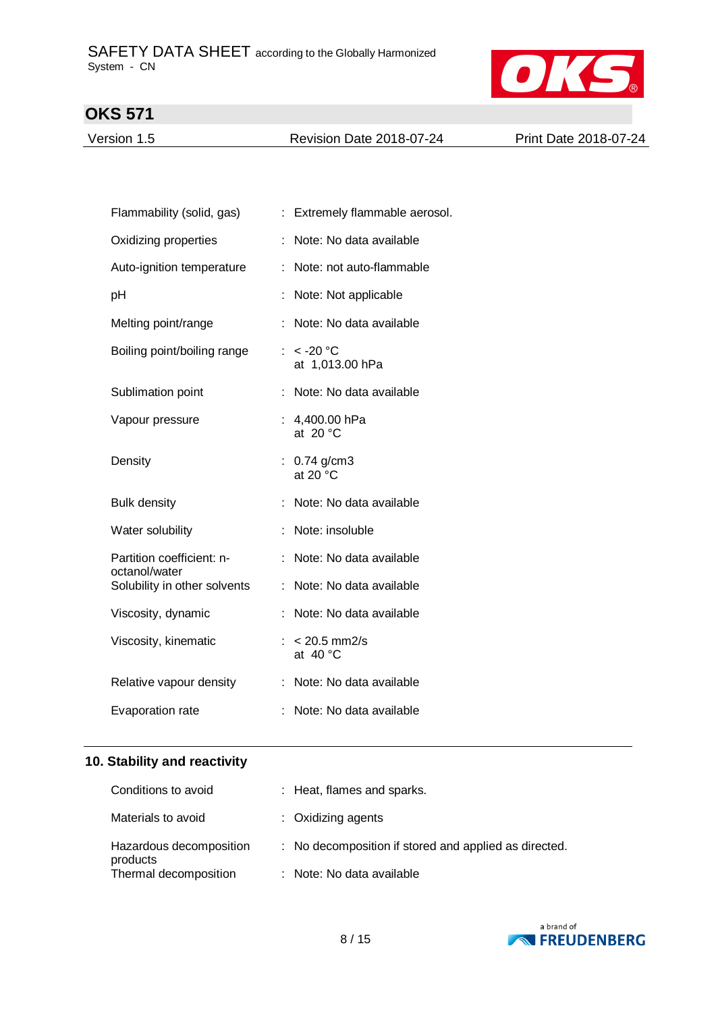

Version 1.5 Revision Date 2018-07-24 Print Date 2018-07-24

| Flammability (solid, gas)                  |   | : Extremely flammable aerosol.       |
|--------------------------------------------|---|--------------------------------------|
| Oxidizing properties                       | ÷ | Note: No data available              |
| Auto-ignition temperature                  |   | Note: not auto-flammable             |
| pH                                         |   | Note: Not applicable                 |
| Melting point/range                        | ÷ | Note: No data available              |
| Boiling point/boiling range                |   | : $<$ -20 °C<br>at 1,013.00 hPa      |
| Sublimation point                          |   | Note: No data available              |
| Vapour pressure                            |   | : 4,400.00 hPa<br>at $20 °C$         |
| Density                                    |   | : $0.74$ g/cm3<br>at 20 $^{\circ}$ C |
| <b>Bulk density</b>                        |   | Note: No data available              |
| Water solubility                           |   | Note: insoluble                      |
| Partition coefficient: n-<br>octanol/water |   | Note: No data available              |
| Solubility in other solvents               |   | Note: No data available              |
| Viscosity, dynamic                         |   | Note: No data available              |
| Viscosity, kinematic                       |   | $< 20.5$ mm2/s<br>at $40^{\circ}$ C  |
| Relative vapour density                    |   | Note: No data available              |
| Evaporation rate                           |   | Note: No data available              |

## **10. Stability and reactivity**

| Conditions to avoid                 | : Heat, flames and sparks.                            |
|-------------------------------------|-------------------------------------------------------|
| Materials to avoid                  | : Oxidizing agents                                    |
| Hazardous decomposition<br>products | : No decomposition if stored and applied as directed. |
| Thermal decomposition               | : Note: No data available                             |

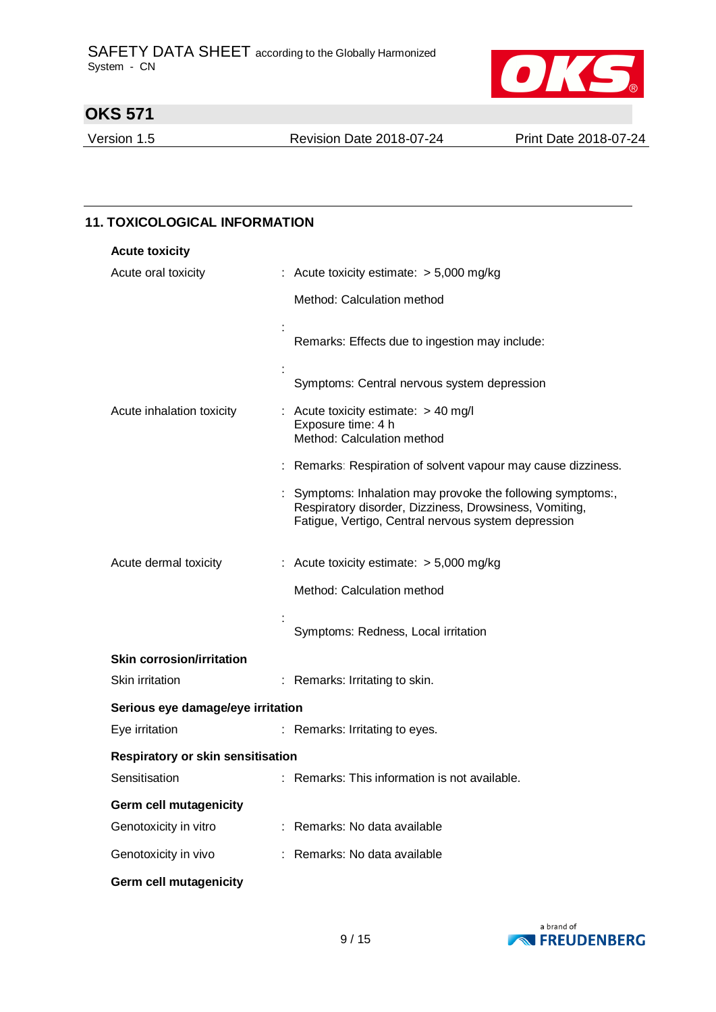

Version 1.5 Revision Date 2018-07-24 Print Date 2018-07-24

| <b>Acute toxicity</b>             |                                                                                                                                                                              |
|-----------------------------------|------------------------------------------------------------------------------------------------------------------------------------------------------------------------------|
| Acute oral toxicity               | : Acute toxicity estimate: $> 5,000$ mg/kg                                                                                                                                   |
|                                   | Method: Calculation method                                                                                                                                                   |
|                                   | Remarks: Effects due to ingestion may include:                                                                                                                               |
|                                   | Symptoms: Central nervous system depression                                                                                                                                  |
| Acute inhalation toxicity         | : Acute toxicity estimate: $> 40$ mg/l<br>Exposure time: 4 h<br>Method: Calculation method                                                                                   |
|                                   | : Remarks: Respiration of solvent vapour may cause dizziness.                                                                                                                |
|                                   | : Symptoms: Inhalation may provoke the following symptoms:,<br>Respiratory disorder, Dizziness, Drowsiness, Vomiting,<br>Fatigue, Vertigo, Central nervous system depression |
| Acute dermal toxicity             | : Acute toxicity estimate: $> 5,000$ mg/kg                                                                                                                                   |
|                                   | Method: Calculation method                                                                                                                                                   |
|                                   | Symptoms: Redness, Local irritation                                                                                                                                          |
| <b>Skin corrosion/irritation</b>  |                                                                                                                                                                              |
| Skin irritation                   | : Remarks: Irritating to skin.                                                                                                                                               |
| Serious eye damage/eye irritation |                                                                                                                                                                              |
| Eye irritation                    | : Remarks: Irritating to eyes.                                                                                                                                               |
| Respiratory or skin sensitisation |                                                                                                                                                                              |
| Sensitisation                     | Remarks: This information is not available.                                                                                                                                  |
| Germ cell mutagenicity            |                                                                                                                                                                              |
| Genotoxicity in vitro             | : Remarks: No data available                                                                                                                                                 |
| Genotoxicity in vivo              | : Remarks: No data available                                                                                                                                                 |

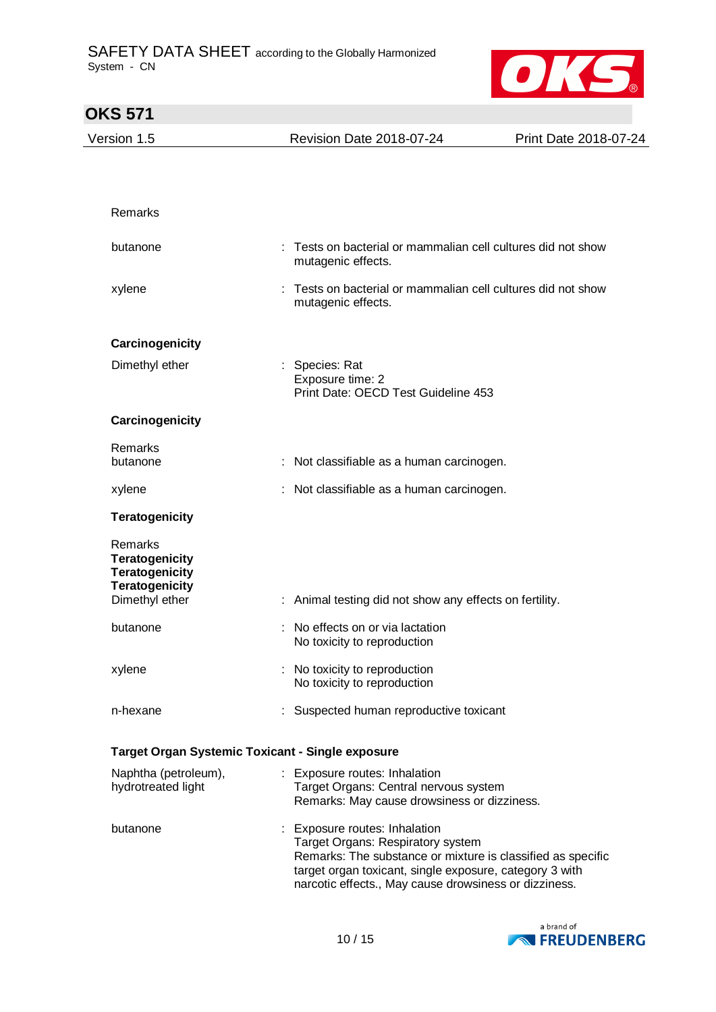

| <b>OKS 571</b>                                                                                       |                                                                                                                                                                                        |                                                             |
|------------------------------------------------------------------------------------------------------|----------------------------------------------------------------------------------------------------------------------------------------------------------------------------------------|-------------------------------------------------------------|
| Version 1.5                                                                                          | <b>Revision Date 2018-07-24</b>                                                                                                                                                        | Print Date 2018-07-24                                       |
|                                                                                                      |                                                                                                                                                                                        |                                                             |
|                                                                                                      |                                                                                                                                                                                        |                                                             |
| Remarks                                                                                              |                                                                                                                                                                                        |                                                             |
| butanone                                                                                             | Tests on bacterial or mammalian cell cultures did not show<br>mutagenic effects.                                                                                                       |                                                             |
| xylene                                                                                               | Tests on bacterial or mammalian cell cultures did not show<br>mutagenic effects.                                                                                                       |                                                             |
| Carcinogenicity                                                                                      |                                                                                                                                                                                        |                                                             |
| Dimethyl ether                                                                                       | : Species: Rat<br>Exposure time: 2<br>Print Date: OECD Test Guideline 453                                                                                                              |                                                             |
| Carcinogenicity                                                                                      |                                                                                                                                                                                        |                                                             |
| <b>Remarks</b><br>butanone                                                                           | : Not classifiable as a human carcinogen.                                                                                                                                              |                                                             |
| xylene                                                                                               | : Not classifiable as a human carcinogen.                                                                                                                                              |                                                             |
| <b>Teratogenicity</b>                                                                                |                                                                                                                                                                                        |                                                             |
| Remarks<br><b>Teratogenicity</b><br><b>Teratogenicity</b><br><b>Teratogenicity</b><br>Dimethyl ether | : Animal testing did not show any effects on fertility.                                                                                                                                |                                                             |
| butanone                                                                                             | No effects on or via lactation<br>No toxicity to reproduction                                                                                                                          |                                                             |
| xylene                                                                                               | : No toxicity to reproduction<br>No toxicity to reproduction                                                                                                                           |                                                             |
| n-hexane                                                                                             | : Suspected human reproductive toxicant                                                                                                                                                |                                                             |
|                                                                                                      | Target Organ Systemic Toxicant - Single exposure                                                                                                                                       |                                                             |
| Naphtha (petroleum),<br>hydrotreated light                                                           | : Exposure routes: Inhalation<br>Target Organs: Central nervous system<br>Remarks: May cause drowsiness or dizziness.                                                                  |                                                             |
| butanone                                                                                             | : Exposure routes: Inhalation<br>Target Organs: Respiratory system<br>target organ toxicant, single exposure, category 3 with<br>narcotic effects., May cause drowsiness or dizziness. | Remarks: The substance or mixture is classified as specific |

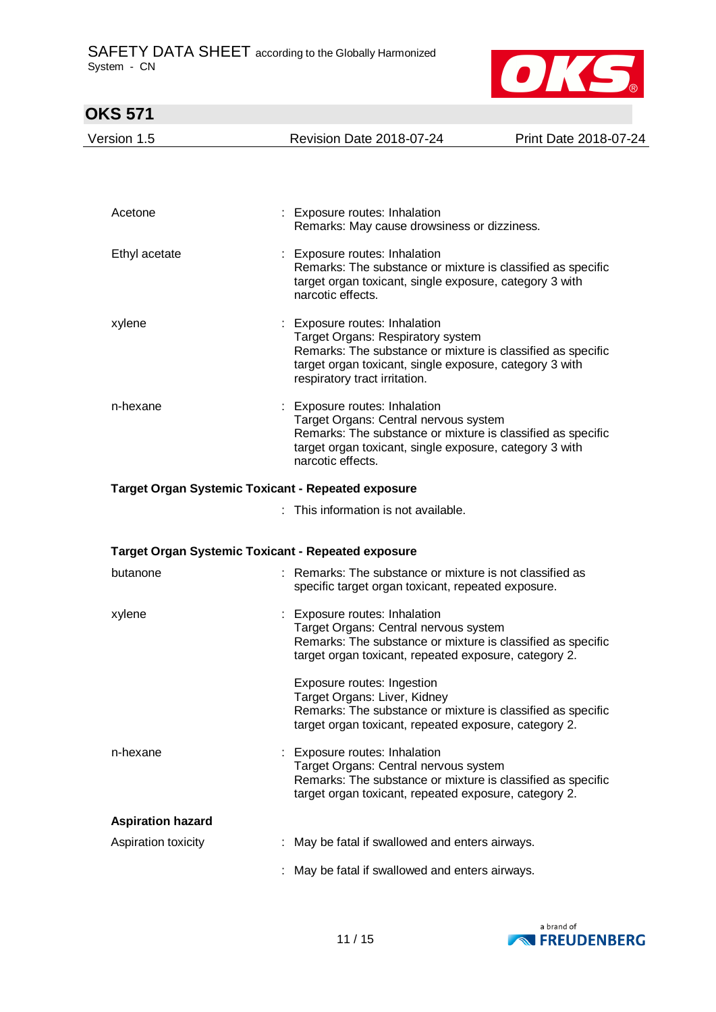

| <b>OKS 571</b>                                            |                                                                                                                                                                                                                               |                       |
|-----------------------------------------------------------|-------------------------------------------------------------------------------------------------------------------------------------------------------------------------------------------------------------------------------|-----------------------|
| Version 1.5                                               | <b>Revision Date 2018-07-24</b>                                                                                                                                                                                               | Print Date 2018-07-24 |
|                                                           |                                                                                                                                                                                                                               |                       |
| Acetone                                                   | : Exposure routes: Inhalation<br>Remarks: May cause drowsiness or dizziness.                                                                                                                                                  |                       |
| Ethyl acetate                                             | : Exposure routes: Inhalation<br>Remarks: The substance or mixture is classified as specific<br>target organ toxicant, single exposure, category 3 with<br>narcotic effects.                                                  |                       |
| xylene                                                    | : Exposure routes: Inhalation<br>Target Organs: Respiratory system<br>Remarks: The substance or mixture is classified as specific<br>target organ toxicant, single exposure, category 3 with<br>respiratory tract irritation. |                       |
| n-hexane                                                  | : Exposure routes: Inhalation<br>Target Organs: Central nervous system<br>Remarks: The substance or mixture is classified as specific<br>target organ toxicant, single exposure, category 3 with<br>narcotic effects.         |                       |
| <b>Target Organ Systemic Toxicant - Repeated exposure</b> |                                                                                                                                                                                                                               |                       |
|                                                           | : This information is not available.                                                                                                                                                                                          |                       |
| <b>Target Organ Systemic Toxicant - Repeated exposure</b> |                                                                                                                                                                                                                               |                       |
| butanone                                                  | : Remarks: The substance or mixture is not classified as<br>specific target organ toxicant, repeated exposure.                                                                                                                |                       |
| xylene                                                    | Exposure routes: Inhalation<br>Target Organs: Central nervous system<br>Remarks: The substance or mixture is classified as specific<br>target organ toxicant, repeated exposure, category 2.                                  |                       |
|                                                           | Exposure routes: Ingestion<br>Target Organs: Liver, Kidney<br>Remarks: The substance or mixture is classified as specific<br>target organ toxicant, repeated exposure, category 2.                                            |                       |
| n-hexane                                                  | : Exposure routes: Inhalation<br>Target Organs: Central nervous system<br>Remarks: The substance or mixture is classified as specific<br>target organ toxicant, repeated exposure, category 2.                                |                       |
| <b>Aspiration hazard</b>                                  |                                                                                                                                                                                                                               |                       |
| Aspiration toxicity                                       | : May be fatal if swallowed and enters airways.                                                                                                                                                                               |                       |
|                                                           | May be fatal if swallowed and enters airways.                                                                                                                                                                                 |                       |

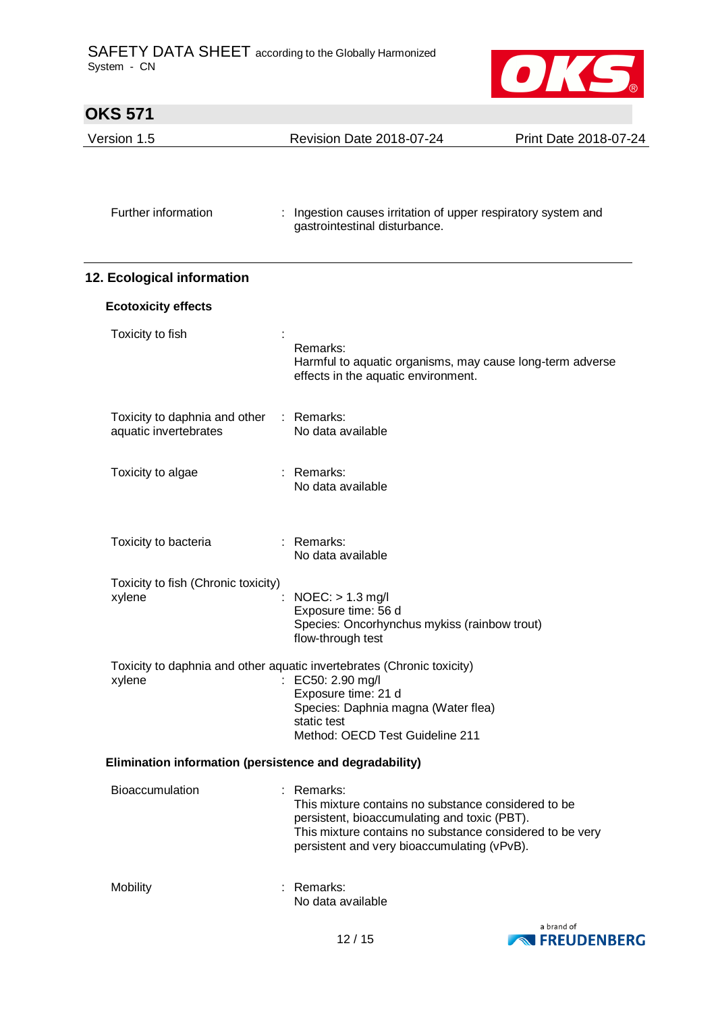

| <b>OKS 571</b>                                          |                                                                                                                                                                                                                            |                       |
|---------------------------------------------------------|----------------------------------------------------------------------------------------------------------------------------------------------------------------------------------------------------------------------------|-----------------------|
| Version 1.5                                             | Revision Date 2018-07-24                                                                                                                                                                                                   | Print Date 2018-07-24 |
| Further information                                     | Ingestion causes irritation of upper respiratory system and<br>gastrointestinal disturbance.                                                                                                                               |                       |
| 12. Ecological information                              |                                                                                                                                                                                                                            |                       |
| <b>Ecotoxicity effects</b>                              |                                                                                                                                                                                                                            |                       |
| Toxicity to fish                                        | Remarks:<br>Harmful to aquatic organisms, may cause long-term adverse<br>effects in the aquatic environment.                                                                                                               |                       |
| Toxicity to daphnia and other<br>aquatic invertebrates  | : Remarks:<br>No data available                                                                                                                                                                                            |                       |
| Toxicity to algae                                       | : Remarks:<br>No data available                                                                                                                                                                                            |                       |
| Toxicity to bacteria                                    | : Remarks:<br>No data available                                                                                                                                                                                            |                       |
| Toxicity to fish (Chronic toxicity)<br>xylene           | $NOEC:$ > 1.3 mg/l<br>Exposure time: 56 d<br>Species: Oncorhynchus mykiss (rainbow trout)<br>flow-through test                                                                                                             |                       |
| xylene                                                  | Toxicity to daphnia and other aquatic invertebrates (Chronic toxicity)<br>EC50: 2.90 mg/l<br>Exposure time: 21 d<br>Species: Daphnia magna (Water flea)<br>static test<br>Method: OECD Test Guideline 211                  |                       |
| Elimination information (persistence and degradability) |                                                                                                                                                                                                                            |                       |
| Bioaccumulation<br>÷                                    | Remarks:<br>This mixture contains no substance considered to be<br>persistent, bioaccumulating and toxic (PBT).<br>This mixture contains no substance considered to be very<br>persistent and very bioaccumulating (vPvB). |                       |
| Mobility                                                | Remarks:<br>No data available                                                                                                                                                                                              |                       |

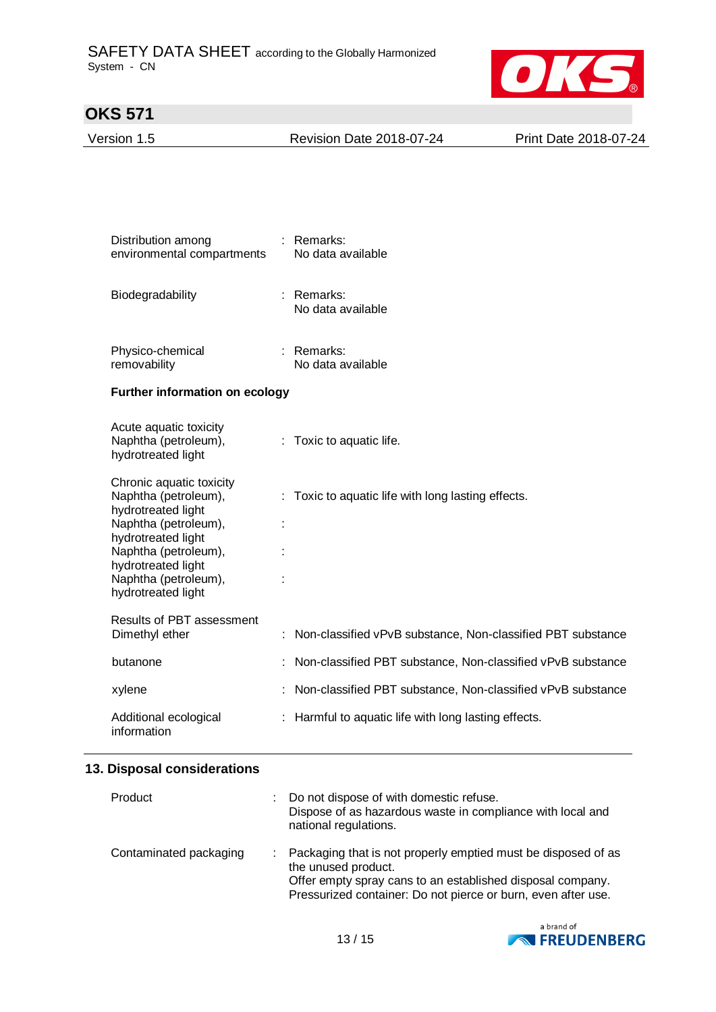

| Version 1.5 | <b>Revision Date 2018-07-24</b> | Print Date 2018-07-24 |
|-------------|---------------------------------|-----------------------|
|             |                                 |                       |

| Distribution among<br>environmental compartments | Remarks:<br>No data available |
|--------------------------------------------------|-------------------------------|
| Biodegradability                                 | Remarks:<br>No data available |

| Physico-chemical | : Remarks:        |
|------------------|-------------------|
| removability     | No data available |

### **Further information on ecology**

| Acute aquatic toxicity<br>Naphtha (petroleum),<br>hydrotreated light                                                                                                                                             | $:$ Toxic to aquatic life.                                    |
|------------------------------------------------------------------------------------------------------------------------------------------------------------------------------------------------------------------|---------------------------------------------------------------|
| Chronic aquatic toxicity<br>Naphtha (petroleum),<br>hydrotreated light<br>Naphtha (petroleum),<br>hydrotreated light<br>Naphtha (petroleum),<br>hydrotreated light<br>Naphtha (petroleum),<br>hydrotreated light | $\therefore$ Toxic to aquatic life with long lasting effects. |
| Results of PBT assessment<br>Dimethyl ether                                                                                                                                                                      | : Non-classified vPvB substance, Non-classified PBT substance |
| butanone                                                                                                                                                                                                         | : Non-classified PBT substance, Non-classified vPvB substance |
| xylene                                                                                                                                                                                                           | : Non-classified PBT substance, Non-classified vPvB substance |
| Additional ecological<br>information                                                                                                                                                                             | : Harmful to aquatic life with long lasting effects.          |

### **13. Disposal considerations**

| Product                | : Do not dispose of with domestic refuse.<br>Dispose of as hazardous waste in compliance with local and<br>national regulations.                                                                                    |
|------------------------|---------------------------------------------------------------------------------------------------------------------------------------------------------------------------------------------------------------------|
| Contaminated packaging | Packaging that is not properly emptied must be disposed of as<br>the unused product.<br>Offer empty spray cans to an established disposal company.<br>Pressurized container: Do not pierce or burn, even after use. |

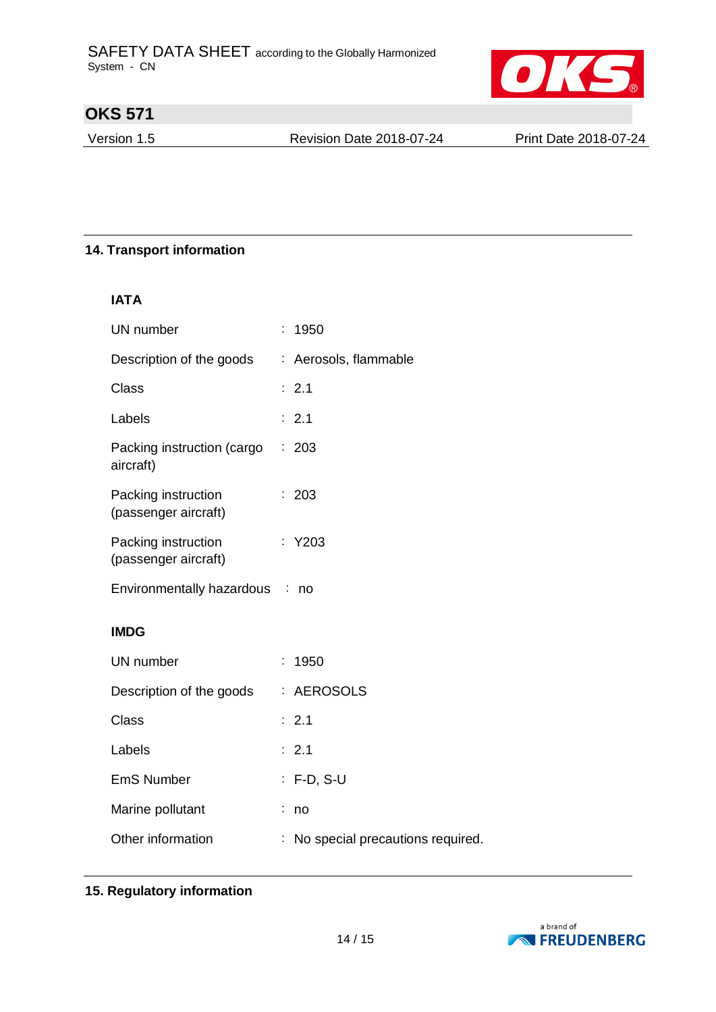

Version 1.5 Revision Date 2018-07-24 Print Date 2018-07-24

### **14. Transport information**

### **IATA**

| UN number                                   |    | 1950                             |
|---------------------------------------------|----|----------------------------------|
| Description of the goods                    |    | : Aerosols, flammable            |
| <b>Class</b>                                |    | : 2.1                            |
| Labels                                      |    | : 2.1                            |
| Packing instruction (cargo<br>aircraft)     | t. | 203                              |
| Packing instruction<br>(passenger aircraft) |    | 203                              |
| Packing instruction<br>(passenger aircraft) |    | : Y203                           |
| Environmentally hazardous : no              |    |                                  |
| <b>IMDG</b>                                 |    |                                  |
| UN number                                   | t. | 1950                             |
| Description of the goods                    |    | : AEROSOLS                       |
| <b>Class</b>                                |    | : 2.1                            |
| Labels                                      |    | : 2.1                            |
| <b>EmS Number</b>                           |    | : F-D, S-U                       |
| Marine pollutant                            |    | no                               |
| Other information                           |    | No special precautions required. |

### **15. Regulatory information**